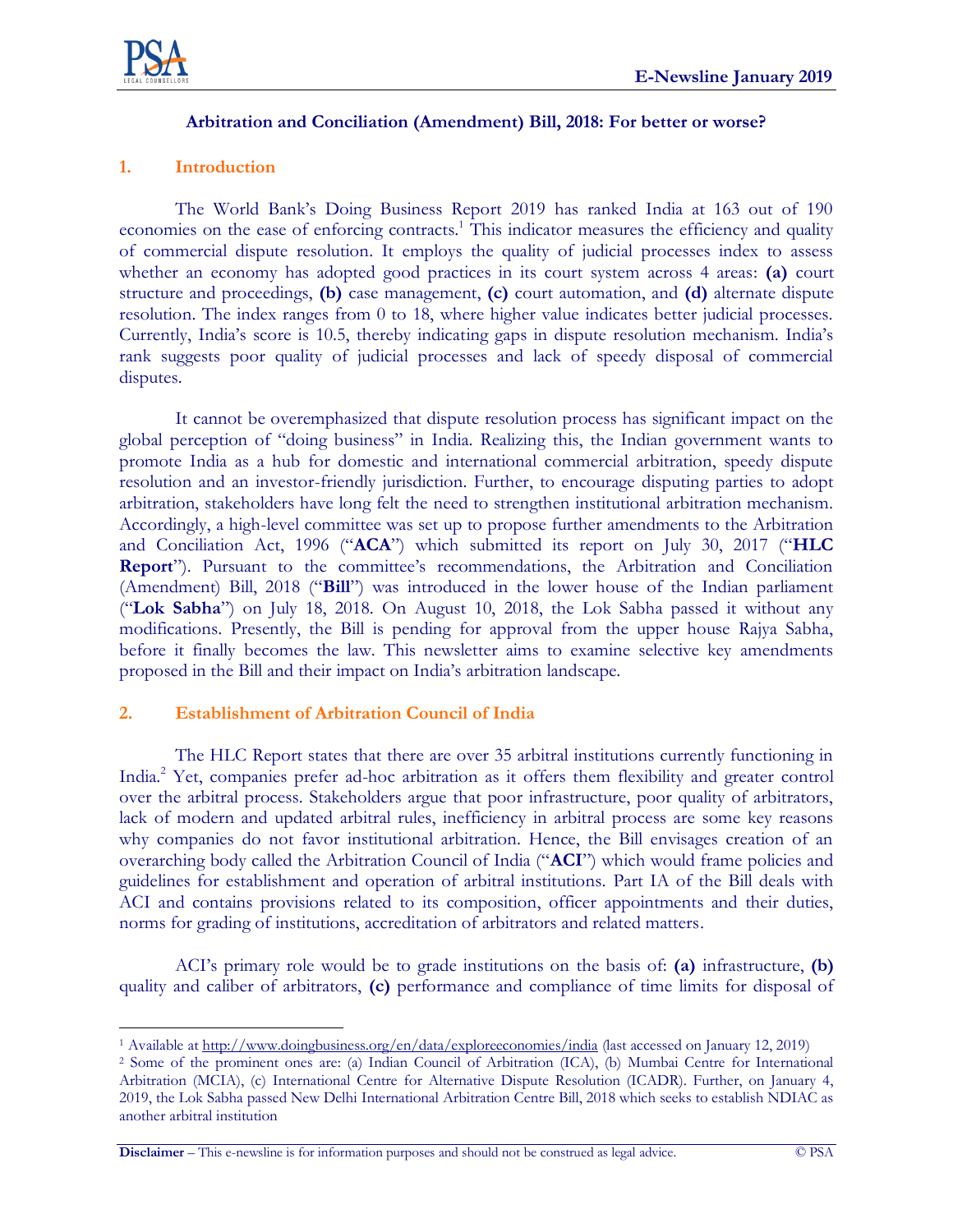

 $\overline{a}$ 

#### **Arbitration and Conciliation (Amendment) Bill, 2018: For better or worse?**

## **1. Introduction**

The World Bank's Doing Business Report 2019 has ranked India at 163 out of 190 economies on the ease of enforcing contracts.<sup>1</sup> This indicator measures the efficiency and quality of commercial dispute resolution. It employs the quality of judicial processes index to assess whether an economy has adopted good practices in its court system across 4 areas: **(a)** court structure and proceedings, **(b)** case management, **(c)** court automation, and **(d)** alternate dispute resolution. The index ranges from 0 to 18, where higher value indicates better judicial processes. Currently, India's score is 10.5, thereby indicating gaps in dispute resolution mechanism. India's rank suggests poor quality of judicial processes and lack of speedy disposal of commercial disputes.

It cannot be overemphasized that dispute resolution process has significant impact on the global perception of "doing business" in India. Realizing this, the Indian government wants to promote India as a hub for domestic and international commercial arbitration, speedy dispute resolution and an investor-friendly jurisdiction. Further, to encourage disputing parties to adopt arbitration, stakeholders have long felt the need to strengthen institutional arbitration mechanism. Accordingly, a high-level committee was set up to propose further amendments to the Arbitration and Conciliation Act, 1996 ("**ACA**") which submitted its report on July 30, 2017 ("**HLC Report**"). Pursuant to the committee's recommendations, the Arbitration and Conciliation (Amendment) Bill, 2018 ("**Bill**") was introduced in the lower house of the Indian parliament ("**Lok Sabha**") on July 18, 2018. On August 10, 2018, the Lok Sabha passed it without any modifications. Presently, the Bill is pending for approval from the upper house Rajya Sabha, before it finally becomes the law. This newsletter aims to examine selective key amendments proposed in the Bill and their impact on India's arbitration landscape.

### **2. Establishment of Arbitration Council of India**

The HLC Report states that there are over 35 arbitral institutions currently functioning in India.<sup>2</sup> Yet, companies prefer ad-hoc arbitration as it offers them flexibility and greater control over the arbitral process. Stakeholders argue that poor infrastructure, poor quality of arbitrators, lack of modern and updated arbitral rules, inefficiency in arbitral process are some key reasons why companies do not favor institutional arbitration. Hence, the Bill envisages creation of an overarching body called the Arbitration Council of India ("**ACI**") which would frame policies and guidelines for establishment and operation of arbitral institutions. Part IA of the Bill deals with ACI and contains provisions related to its composition, officer appointments and their duties, norms for grading of institutions, accreditation of arbitrators and related matters.

ACI's primary role would be to grade institutions on the basis of: **(a)** infrastructure, **(b)** quality and caliber of arbitrators, **(c)** performance and compliance of time limits for disposal of

**Disclaimer** – This e-newsline is for information purposes and should not be construed as legal advice. © PSA

<sup>1</sup> Available at<http://www.doingbusiness.org/en/data/exploreeconomies/india> (last accessed on January 12, 2019)

<sup>2</sup> Some of the prominent ones are: (a) Indian Council of Arbitration (ICA), (b) Mumbai Centre for International Arbitration (MCIA), (c) International Centre for Alternative Dispute Resolution (ICADR). Further, on January 4, 2019, the Lok Sabha passed New Delhi International Arbitration Centre Bill, 2018 which seeks to establish NDIAC as another arbitral institution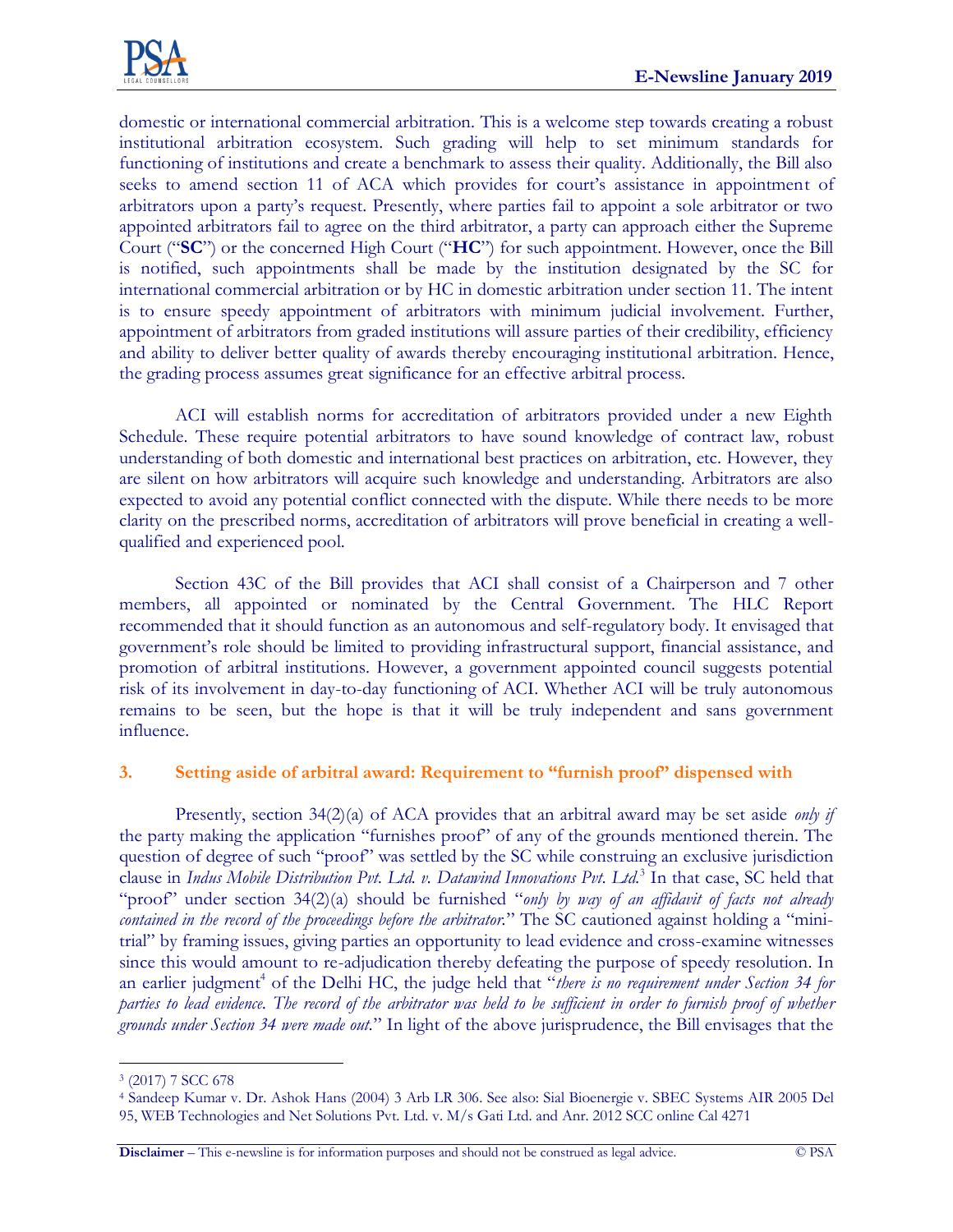

domestic or international commercial arbitration. This is a welcome step towards creating a robust institutional arbitration ecosystem. Such grading will help to set minimum standards for functioning of institutions and create a benchmark to assess their quality. Additionally, the Bill also seeks to amend section 11 of ACA which provides for court's assistance in appointment of arbitrators upon a party's request. Presently, where parties fail to appoint a sole arbitrator or two appointed arbitrators fail to agree on the third arbitrator, a party can approach either the Supreme Court ("**SC**") or the concerned High Court ("**HC**") for such appointment. However, once the Bill is notified, such appointments shall be made by the institution designated by the SC for international commercial arbitration or by HC in domestic arbitration under section 11. The intent is to ensure speedy appointment of arbitrators with minimum judicial involvement. Further, appointment of arbitrators from graded institutions will assure parties of their credibility, efficiency and ability to deliver better quality of awards thereby encouraging institutional arbitration. Hence, the grading process assumes great significance for an effective arbitral process.

ACI will establish norms for accreditation of arbitrators provided under a new Eighth Schedule. These require potential arbitrators to have sound knowledge of contract law, robust understanding of both domestic and international best practices on arbitration, etc. However, they are silent on how arbitrators will acquire such knowledge and understanding. Arbitrators are also expected to avoid any potential conflict connected with the dispute. While there needs to be more clarity on the prescribed norms, accreditation of arbitrators will prove beneficial in creating a wellqualified and experienced pool.

Section 43C of the Bill provides that ACI shall consist of a Chairperson and 7 other members, all appointed or nominated by the Central Government. The HLC Report recommended that it should function as an autonomous and self-regulatory body. It envisaged that government's role should be limited to providing infrastructural support, financial assistance, and promotion of arbitral institutions. However, a government appointed council suggests potential risk of its involvement in day-to-day functioning of ACI. Whether ACI will be truly autonomous remains to be seen, but the hope is that it will be truly independent and sans government influence.

### **3. Setting aside of arbitral award: Requirement to "furnish proof" dispensed with**

Presently, section 34(2)(a) of ACA provides that an arbitral award may be set aside *only if* the party making the application "furnishes proof" of any of the grounds mentioned therein. The question of degree of such "proof" was settled by the SC while construing an exclusive jurisdiction clause in *Indus Mobile Distribution Pvt. Ltd. v. Datawind Innovations Pvt. Ltd.*<sup>3</sup> In that case, SC held that "proof" under section 34(2)(a) should be furnished "*only by way of an affidavit of facts not already contained in the record of the proceedings before the arbitrator.*" The SC cautioned against holding a "minitrial" by framing issues, giving parties an opportunity to lead evidence and cross-examine witnesses since this would amount to re-adjudication thereby defeating the purpose of speedy resolution. In an earlier judgment<sup>4</sup> of the Delhi HC, the judge held that "there is no requirement under Section 34 for *parties to lead evidence. The record of the arbitrator was held to be sufficient in order to furnish proof of whether grounds under Section 34 were made out.*" In light of the above jurisprudence, the Bill envisages that the

 $\overline{a}$ 3 (2017) 7 SCC 678

<sup>4</sup> Sandeep Kumar v. Dr. Ashok Hans (2004) 3 Arb LR 306. See also: Sial Bioenergie v. SBEC Systems AIR 2005 Del 95, WEB Technologies and Net Solutions Pvt. Ltd. v. M/s Gati Ltd. and Anr. 2012 SCC online Cal 4271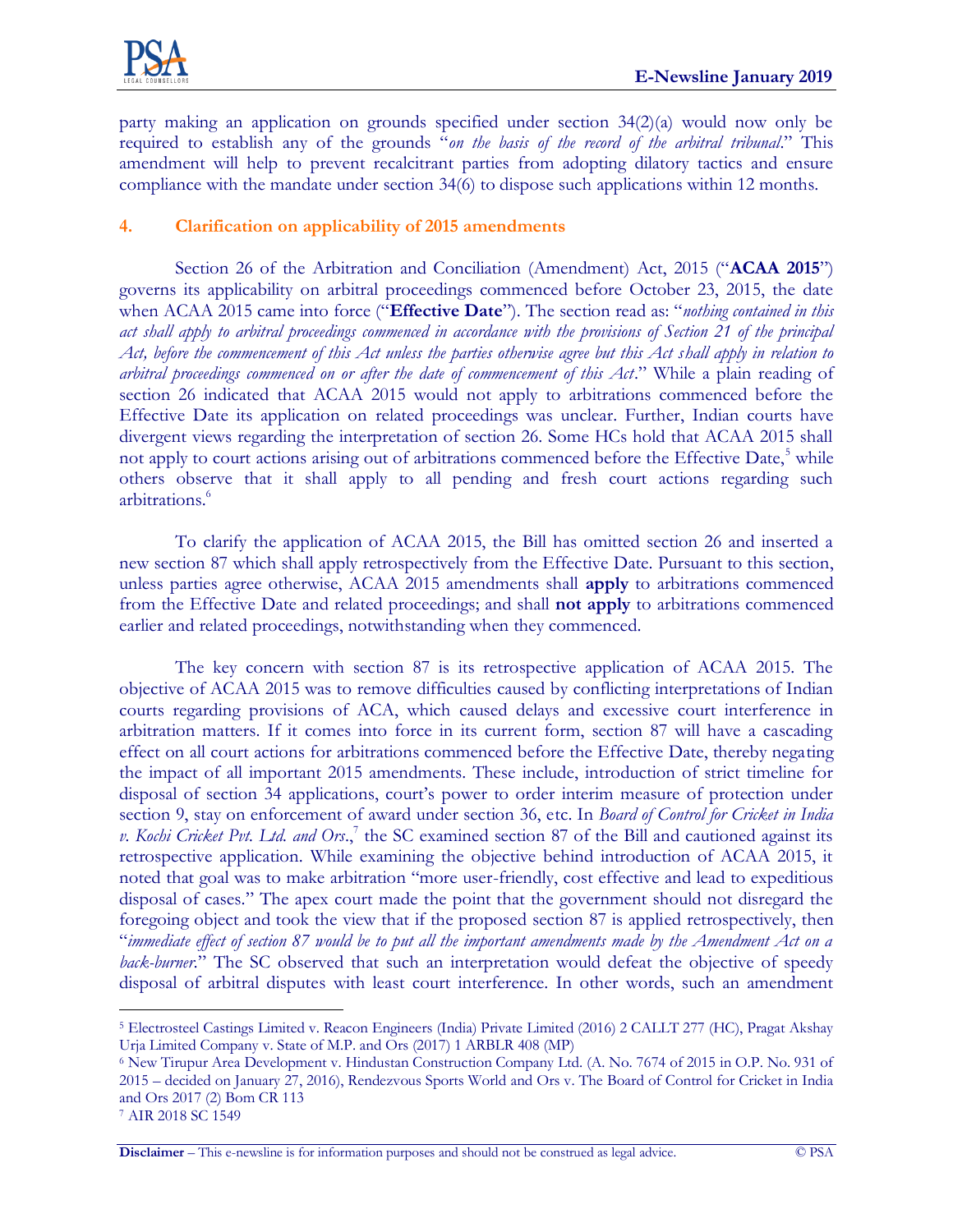

party making an application on grounds specified under section 34(2)(a) would now only be required to establish any of the grounds "*on the basis of the record of the arbitral tribunal*." This amendment will help to prevent recalcitrant parties from adopting dilatory tactics and ensure compliance with the mandate under section 34(6) to dispose such applications within 12 months.

# **4. Clarification on applicability of 2015 amendments**

Section 26 of the Arbitration and Conciliation (Amendment) Act, 2015 ("**ACAA 2015**") governs its applicability on arbitral proceedings commenced before October 23, 2015, the date when ACAA 2015 came into force ("**Effective Date**"). The section read as: "*nothing contained in this act shall apply to arbitral proceedings commenced in accordance with the provisions of Section 21 of the principal Act, before the commencement of this Act unless the parties otherwise agree but this Act shall apply in relation to arbitral proceedings commenced on or after the date of commencement of this Act*." While a plain reading of section 26 indicated that ACAA 2015 would not apply to arbitrations commenced before the Effective Date its application on related proceedings was unclear. Further, Indian courts have divergent views regarding the interpretation of section 26. Some HCs hold that ACAA 2015 shall not apply to court actions arising out of arbitrations commenced before the Effective Date,<sup>5</sup> while others observe that it shall apply to all pending and fresh court actions regarding such arbitrations.<sup>6</sup>

To clarify the application of ACAA 2015, the Bill has omitted section 26 and inserted a new section 87 which shall apply retrospectively from the Effective Date. Pursuant to this section, unless parties agree otherwise, ACAA 2015 amendments shall **apply** to arbitrations commenced from the Effective Date and related proceedings; and shall **not apply** to arbitrations commenced earlier and related proceedings, notwithstanding when they commenced.

The key concern with section 87 is its retrospective application of ACAA 2015. The objective of ACAA 2015 was to remove difficulties caused by conflicting interpretations of Indian courts regarding provisions of ACA, which caused delays and excessive court interference in arbitration matters. If it comes into force in its current form, section 87 will have a cascading effect on all court actions for arbitrations commenced before the Effective Date, thereby negating the impact of all important 2015 amendments. These include, introduction of strict timeline for disposal of section 34 applications, court's power to order interim measure of protection under section 9, stay on enforcement of award under section 36, etc. In *Board of Control for Cricket in India v. Kochi Cricket Pvt. Ltd. and Ors*., 7 the SC examined section 87 of the Bill and cautioned against its retrospective application. While examining the objective behind introduction of ACAA 2015, it noted that goal was to make arbitration "more user-friendly, cost effective and lead to expeditious disposal of cases." The apex court made the point that the government should not disregard the foregoing object and took the view that if the proposed section 87 is applied retrospectively, then "*immediate effect of section 87 would be to put all the important amendments made by the Amendment Act on a* back-burner." The SC observed that such an interpretation would defeat the objective of speedy disposal of arbitral disputes with least court interference. In other words, such an amendment

 $\overline{a}$ 

**Disclaimer** – This e-newsline is for information purposes and should not be construed as legal advice. © PSA

<sup>5</sup> Electrosteel Castings Limited v. Reacon Engineers (India) Private Limited (2016) 2 CALLT 277 (HC), Pragat Akshay Urja Limited Company v. State of M.P. and Ors (2017) 1 ARBLR 408 (MP)

<sup>6</sup> New Tirupur Area Development v. Hindustan Construction Company Ltd. (A. No. 7674 of 2015 in O.P. No. 931 of 2015 – decided on January 27, 2016), Rendezvous Sports World and Ors v. The Board of Control for Cricket in India and Ors 2017 (2) Bom CR 113

<sup>7</sup> AIR 2018 SC 1549